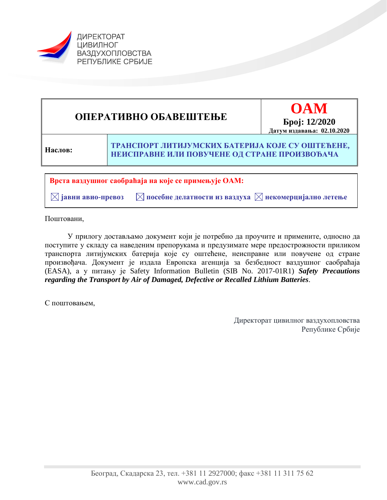

**Врста ваздушног саобраћаја на које се примењује ОАМ: ОПЕРАТИВНО ОБАВЕШТЕЊЕ OAM Број: 12/2020 Датум издавања: 02.10.2020 Наслов: ТРАНСПОРТ ЛИТИЈУМСКИХ БАТЕРИЈА КОЈЕ СУ ОШТЕЋЕНЕ, НЕИСПРАВНЕ ИЛИ ПОВУЧЕНЕ ОД СТРАНЕ ПРОИЗВОЂАЧА** 

 $\boxtimes$  **јавни авио-превоз**  $\blacksquare$  посебне делатности из ваздуха  $\boxtimes$  некомерцијално летење

Поштовани,

У прилогу достављамо документ који је потребно да проучите и примените, односно да поступите у складу са наведеним препорукама и предузимате мере предострожности приликом транспорта литијумских батерија које су оштећене, неисправне или повучене од стране произвођача. Документ је издала Европска агенција за безбедност ваздушног саобраћаја (EASA), а у питању је Safety Information Bulletin (SIB No. 2017-01R1) *Safety Precautions regarding the Transport by Air of Damaged, Defective or Recalled Lithium Batteries*.

С поштовањем,

Директорат цивилног ваздухопловства Републике Србије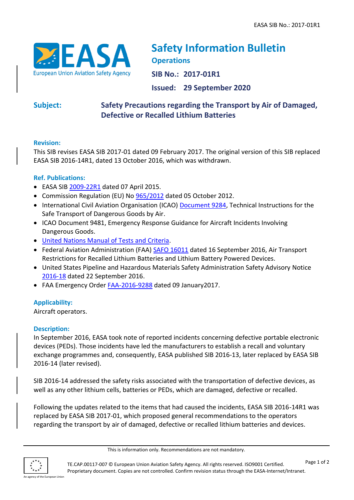

# **Safety Information Bulletin Operations**

**SIB No.: 2017-01R1**

**Issued: 29 September 2020**

## **Subject: Safety Precautions regarding the Transport by Air of Damaged, Defective or Recalled Lithium Batteries**

## **Revision:**

This SIB revises EASA SIB 2017-01 dated 09 February 2017. The original version of this SIB replaced EASA SIB 2016-14R1, dated 13 October 2016, which was withdrawn.

## **Ref. Publications:**

- EASA SIB [2009-22R1](http://ad.easa.europa.eu/ad/2009-22R1) dated 07 April 2015.
- Commission Regulation (EU) No [965/2012](http://eur-lex.europa.eu/legal-content/EN/TXT/?qid=1425371379500&uri=CELEX:32012R0965) dated 05 October 2012.
- International Civil Aviation Organisation (ICAO) [Document 9284,](http://www.icao.int/safety/DangerousGoods/Pages/technical-instructions.aspx) Technical Instructions for the Safe Transport of Dangerous Goods by Air.
- ICAO Document 9481, Emergency Response Guidance for Aircraft Incidents Involving Dangerous Goods.
- United Nations [Manual of Tests and Criteria.](http://www.unece.org/trans/danger/publi/manual/manual_e.html)
- Federal Aviation Administration (FAA) [SAFO 16011](http://www.faa.gov/other_visit/aviation_industry/airline_operators/airline_safety/safo/all_safos/media/2016/SAFO16011.pdf) dated 16 September 2016, Air Transport Restrictions for Recalled Lithium Batteries and Lithium Battery Powered Devices.
- United States Pipeline and Hazardous Materials Safety Administration Safety Advisory Notice [2016-18](https://www.govinfo.gov/content/pkg/FR-2016-09-22/pdf/2016-22777.pdf) dated 22 September 2016.
- FAA [Emergency Order](https://www.gpo.gov/fdsys/pkg/FR-2017-01-12/pdf/2017-00555.pdf) [FAA-2016-9288](https://www.gpo.gov/fdsys/pkg/FR-2017-01-12/pdf/2017-00555.pdf) dated 09 January2017.

## **Applicability:**

Aircraft operators.

## **Description:**

In September 2016, EASA took note of reported incidents concerning defective portable electronic devices (PEDs). Those incidents have led the manufacturers to establish a recall and voluntary exchange programmes and, consequently, EASA published SIB 2016-13, later replaced by EASA SIB 2016-14 (later revised).

SIB 2016-14 addressed the safety risks associated with the transportation of defective devices, as well as any other lithium cells, batteries or PEDs, which are damaged, defective or recalled.

Following the updates related to the items that had caused the incidents, EASA SIB 2016-14R1 was replaced by EASA SIB 2017-01, which proposed general recommendations to the operators regarding the transport by air of damaged, defective or recalled lithium batteries and devices.